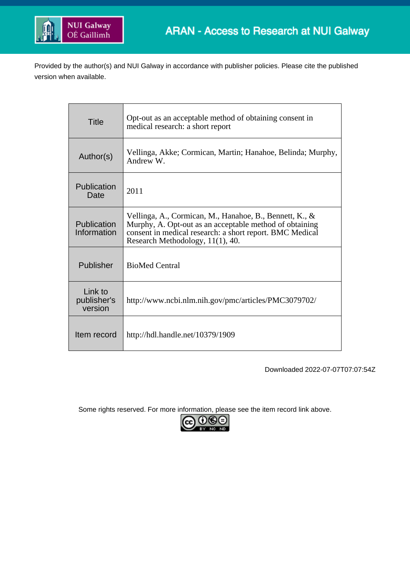

Provided by the author(s) and NUI Galway in accordance with publisher policies. Please cite the published version when available.

| <b>Title</b>                      | Opt-out as an acceptable method of obtaining consent in<br>medical research: a short report                                                                                                                        |
|-----------------------------------|--------------------------------------------------------------------------------------------------------------------------------------------------------------------------------------------------------------------|
| Author(s)                         | Vellinga, Akke; Cormican, Martin; Hanahoe, Belinda; Murphy,<br>Andrew W.                                                                                                                                           |
| Publication<br>Date               | 2011                                                                                                                                                                                                               |
| Publication<br>Information        | Vellinga, A., Cormican, M., Hanahoe, B., Bennett, K., &<br>Murphy, A. Opt-out as an acceptable method of obtaining<br>consent in medical research: a short report. BMC Medical<br>Research Methodology, 11(1), 40. |
| Publisher                         | <b>BioMed Central</b>                                                                                                                                                                                              |
| Link to<br>publisher's<br>version | http://www.ncbi.nlm.nih.gov/pmc/articles/PMC3079702/                                                                                                                                                               |
| Item record                       | http://hdl.handle.net/10379/1909                                                                                                                                                                                   |

Downloaded 2022-07-07T07:07:54Z

Some rights reserved. For more information, please see the item record link above.

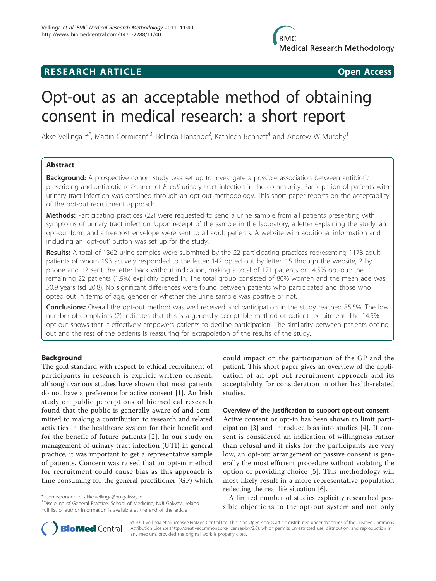## **RESEARCH ARTICLE Example 2018 12:00 Open Access**

# Opt-out as an acceptable method of obtaining consent in medical research: a short report

Akke Vellinga<sup>1,2\*</sup>, Martin Cormican<sup>2,3</sup>, Belinda Hanahoe<sup>2</sup>, Kathleen Bennett<sup>4</sup> and Andrew W Murphy<sup>1</sup>

## Abstract

**Background:** A prospective cohort study was set up to investigate a possible association between antibiotic prescribing and antibiotic resistance of E. coli urinary tract infection in the community. Participation of patients with urinary tract infection was obtained through an opt-out methodology. This short paper reports on the acceptability of the opt-out recruitment approach.

Methods: Participating practices (22) were requested to send a urine sample from all patients presenting with symptoms of urinary tract infection. Upon receipt of the sample in the laboratory, a letter explaining the study, an opt-out form and a freepost envelope were sent to all adult patients. A website with additional information and including an 'opt-out' button was set up for the study.

Results: A total of 1362 urine samples were submitted by the 22 participating practices representing 1178 adult patients of whom 193 actively responded to the letter: 142 opted out by letter, 15 through the website, 2 by phone and 12 sent the letter back without indication, making a total of 171 patients or 14.5% opt-out; the remaining 22 patients (1.9%) explicitly opted in. The total group consisted of 80% women and the mean age was 50.9 years (sd 20.8). No significant differences were found between patients who participated and those who opted out in terms of age, gender or whether the urine sample was positive or not.

Conclusions: Overall the opt-out method was well received and participation in the study reached 85.5%. The low number of complaints (2) indicates that this is a generally acceptable method of patient recruitment. The 14.5% opt-out shows that it effectively empowers patients to decline participation. The similarity between patients opting out and the rest of the patients is reassuring for extrapolation of the results of the study.

## Background

The gold standard with respect to ethical recruitment of participants in research is explicit written consent, although various studies have shown that most patients do not have a preference for active consent [[1\]](#page-4-0). An Irish study on public perceptions of biomedical research found that the public is generally aware of and committed to making a contribution to research and related activities in the healthcare system for their benefit and for the benefit of future patients [[2](#page-4-0)]. In our study on management of urinary tract infection (UTI) in general practice, it was important to get a representative sample of patients. Concern was raised that an opt-in method for recruitment could cause bias as this approach is time consuming for the general practitioner (GP) which

\* Correspondence: [akke.vellinga@nuigalway.ie](mailto:akke.vellinga@nuigalway.ie)

<sup>1</sup>Discipline of General Practice, School of Medicine, NUI Galway, Ireland Full list of author information is available at the end of the article

could impact on the participation of the GP and the patient. This short paper gives an overview of the application of an opt-out recruitment approach and its acceptability for consideration in other health-related studies.

## Overview of the justification to support opt-out consent

Active consent or opt-in has been shown to limit participation [\[3](#page-4-0)] and introduce bias into studies [[4\]](#page-4-0). If consent is considered an indication of willingness rather than refusal and if risks for the participants are very low, an opt-out arrangement or passive consent is generally the most efficient procedure without violating the option of providing choice [[5](#page-4-0)]. This methodology will most likely result in a more representative population reflecting the real life situation [\[6](#page-4-0)].

A limited number of studies explicitly researched possible objections to the opt-out system and not only



© 2011 Vellinga et al; licensee BioMed Central Ltd. This is an Open Access article distributed under the terms of the Creative Commons Attribution License [\(http://creativecommons.org/licenses/by/2.0](http://creativecommons.org/licenses/by/2.0)), which permits unrestricted use, distribution, and reproduction in any medium, provided the original work is properly cited.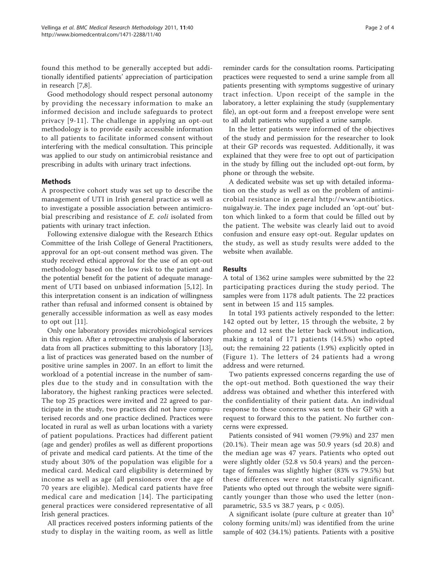found this method to be generally accepted but additionally identified patients' appreciation of participation in research [\[7,8](#page-4-0)].

Good methodology should respect personal autonomy by providing the necessary information to make an informed decision and include safeguards to protect privacy [\[9-11](#page-4-0)]. The challenge in applying an opt-out methodology is to provide easily accessible information to all patients to facilitate informed consent without interfering with the medical consultation. This principle was applied to our study on antimicrobial resistance and prescribing in adults with urinary tract infections.

## Methods

A prospective cohort study was set up to describe the management of UTI in Irish general practice as well as to investigate a possible association between antimicrobial prescribing and resistance of E. coli isolated from patients with urinary tract infection.

Following extensive dialogue with the Research Ethics Committee of the Irish College of General Practitioners, approval for an opt-out consent method was given. The study received ethical approval for the use of an opt-out methodology based on the low risk to the patient and the potential benefit for the patient of adequate management of UTI based on unbiased information [[5,12\]](#page-4-0). In this interpretation consent is an indication of willingness rather than refusal and informed consent is obtained by generally accessible information as well as easy modes to opt out [[11\]](#page-4-0).

Only one laboratory provides microbiological services in this region. After a retrospective analysis of laboratory data from all practices submitting to this laboratory [[13](#page-4-0)], a list of practices was generated based on the number of positive urine samples in 2007. In an effort to limit the workload of a potential increase in the number of samples due to the study and in consultation with the laboratory, the highest ranking practices were selected. The top 25 practices were invited and 22 agreed to participate in the study, two practices did not have computerised records and one practice declined. Practices were located in rural as well as urban locations with a variety of patient populations. Practices had different patient (age and gender) profiles as well as different proportions of private and medical card patients. At the time of the study about 30% of the population was eligible for a medical card. Medical card eligibility is determined by income as well as age (all pensioners over the age of 70 years are eligible). Medical card patients have free medical care and medication [[14\]](#page-4-0). The participating general practices were considered representative of all Irish general practices.

All practices received posters informing patients of the study to display in the waiting room, as well as little

reminder cards for the consultation rooms. Participating practices were requested to send a urine sample from all patients presenting with symptoms suggestive of urinary tract infection. Upon receipt of the sample in the laboratory, a letter explaining the study (supplementary file), an opt-out form and a freepost envelope were sent to all adult patients who supplied a urine sample.

In the letter patients were informed of the objectives of the study and permission for the researcher to look at their GP records was requested. Additionally, it was explained that they were free to opt out of participation in the study by filling out the included opt-out form, by phone or through the website.

A dedicated website was set up with detailed information on the study as well as on the problem of antimicrobial resistance in general [http://www.antibiotics.](http://www.antibiotics.nuigalway.ie) [nuigalway.ie.](http://www.antibiotics.nuigalway.ie) The index page included an 'opt-out' button which linked to a form that could be filled out by the patient. The website was clearly laid out to avoid confusion and ensure easy opt-out. Regular updates on the study, as well as study results were added to the website when available.

## Results

A total of 1362 urine samples were submitted by the 22 participating practices during the study period. The samples were from 1178 adult patients. The 22 practices sent in between 15 and 115 samples.

In total 193 patients actively responded to the letter: 142 opted out by letter, 15 through the website, 2 by phone and 12 sent the letter back without indication, making a total of 171 patients (14.5%) who opted out; the remaining 22 patients (1.9%) explicitly opted in (Figure [1\)](#page-3-0). The letters of 24 patients had a wrong address and were returned.

Two patients expressed concerns regarding the use of the opt-out method. Both questioned the way their address was obtained and whether this interfered with the confidentiality of their patient data. An individual response to these concerns was sent to their GP with a request to forward this to the patient. No further concerns were expressed.

Patients consisted of 941 women (79.9%) and 237 men (20.1%). Their mean age was 50.9 years (sd 20.8) and the median age was 47 years. Patients who opted out were slightly older (52.8 vs 50.4 years) and the percentage of females was slightly higher (83% vs 79.5%) but these differences were not statistically significant. Patients who opted out through the website were significantly younger than those who used the letter (nonparametric, 53.5 vs 38.7 years, p < 0.05).

A significant isolate (pure culture at greater than  $10<sup>5</sup>$ colony forming units/ml) was identified from the urine sample of 402 (34.1%) patients. Patients with a positive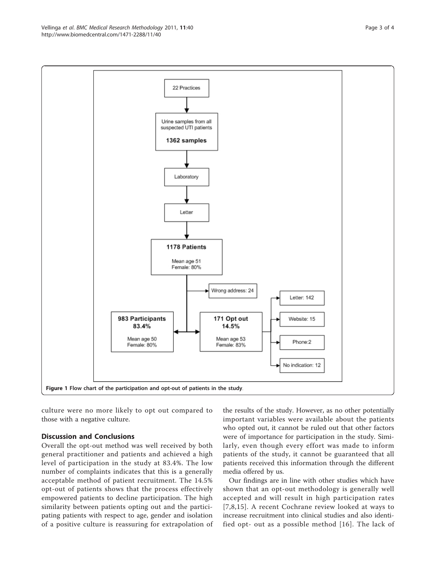<span id="page-3-0"></span>

culture were no more likely to opt out compared to those with a negative culture.

## Discussion and Conclusions

Overall the opt-out method was well received by both general practitioner and patients and achieved a high level of participation in the study at 83.4%. The low number of complaints indicates that this is a generally acceptable method of patient recruitment. The 14.5% opt-out of patients shows that the process effectively empowered patients to decline participation. The high similarity between patients opting out and the participating patients with respect to age, gender and isolation of a positive culture is reassuring for extrapolation of

the results of the study. However, as no other potentially important variables were available about the patients who opted out, it cannot be ruled out that other factors were of importance for participation in the study. Similarly, even though every effort was made to inform patients of the study, it cannot be guaranteed that all patients received this information through the different media offered by us.

Our findings are in line with other studies which have shown that an opt-out methodology is generally well accepted and will result in high participation rates [[7](#page-4-0),[8,15\]](#page-4-0). A recent Cochrane review looked at ways to increase recruitment into clinical studies and also identified opt- out as a possible method [[16\]](#page-4-0). The lack of